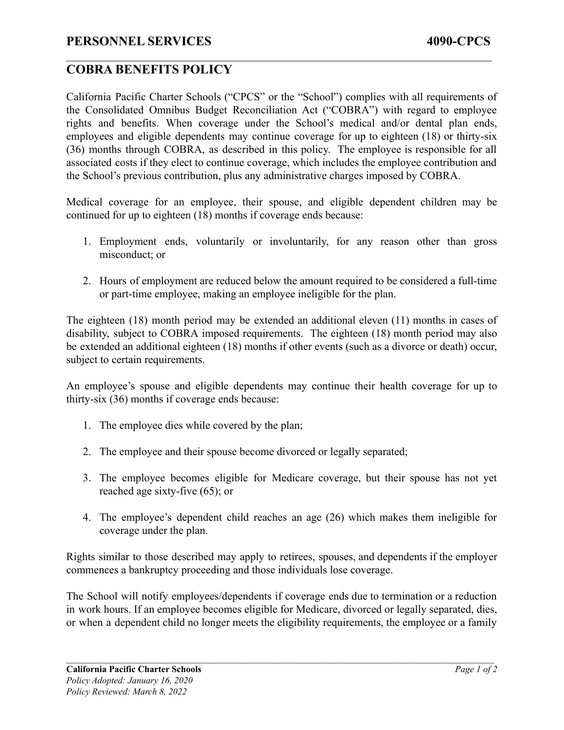## **COBRA BENEFITS POLICY**

California Pacific Charter Schools ("CPCS" or the "School") complies with all requirements of the Consolidated Omnibus Budget Reconciliation Act ("COBRA") with regard to employee rights and benefits. When coverage under the School's medical and/or dental plan ends, employees and eligible dependents may continue coverage for up to eighteen (18) or thirty-six (36) months through COBRA, as described in this policy. The employee is responsible for all associated costs if they elect to continue coverage, which includes the employee contribution and the School's previous contribution, plus any administrative charges imposed by COBRA.

 $\mathcal{L}_\mathcal{L} = \{ \mathcal{L}_\mathcal{L} = \{ \mathcal{L}_\mathcal{L} = \{ \mathcal{L}_\mathcal{L} = \{ \mathcal{L}_\mathcal{L} = \{ \mathcal{L}_\mathcal{L} = \{ \mathcal{L}_\mathcal{L} = \{ \mathcal{L}_\mathcal{L} = \{ \mathcal{L}_\mathcal{L} = \{ \mathcal{L}_\mathcal{L} = \{ \mathcal{L}_\mathcal{L} = \{ \mathcal{L}_\mathcal{L} = \{ \mathcal{L}_\mathcal{L} = \{ \mathcal{L}_\mathcal{L} = \{ \mathcal{L}_\mathcal{$ 

Medical coverage for an employee, their spouse, and eligible dependent children may be continued for up to eighteen (18) months if coverage ends because:

- 1. Employment ends, voluntarily or involuntarily, for any reason other than gross misconduct; or
- 2. Hours of employment are reduced below the amount required to be considered a full-time or part-time employee, making an employee ineligible for the plan.

The eighteen (18) month period may be extended an additional eleven (11) months in cases of disability, subject to COBRA imposed requirements. The eighteen (18) month period may also be extended an additional eighteen (18) months if other events (such as a divorce or death) occur, subject to certain requirements.

An employee's spouse and eligible dependents may continue their health coverage for up to thirty-six (36) months if coverage ends because:

- 1. The employee dies while covered by the plan;
- 2. The employee and their spouse become divorced or legally separated;
- 3. The employee becomes eligible for Medicare coverage, but their spouse has not yet reached age sixty-five (65); or
- 4. The employee's dependent child reaches an age (26) which makes them ineligible for coverage under the plan.

Rights similar to those described may apply to retirees, spouses, and dependents if the employer commences a bankruptcy proceeding and those individuals lose coverage.

The School will notify employees/dependents if coverage ends due to termination or a reduction in work hours. If an employee becomes eligible for Medicare, divorced or legally separated, dies, or when a dependent child no longer meets the eligibility requirements, the employee or a family